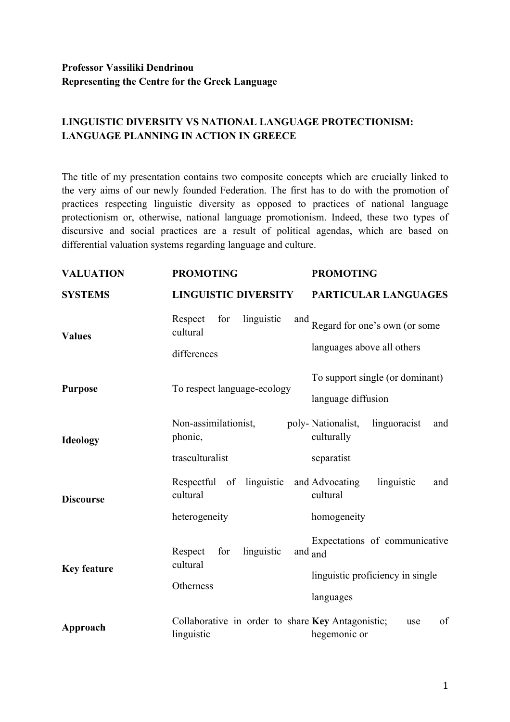#### **Professor Vassiliki Dendrinou Representing the Centre for the Greek Language**

### **LINGUISTIC DIVERSITY VS NATIONAL LANGUAGE PROTECTIONISM: LANGUAGE PLANNING IN ACTION IN GREECE**

The title of my presentation contains two composite concepts which are crucially linked to the very aims of our newly founded Federation. The first has to do with the promotion of practices respecting linguistic diversity as opposed to practices of national language protectionism or, otherwise, national language promotionism. Indeed, these two types of discursive and social practices are a result of political agendas, which are based on differential valuation systems regarding language and culture.

| <b>VALUATION</b>   | <b>PROMOTING</b>                                                | <b>PROMOTING</b>                                                                          |
|--------------------|-----------------------------------------------------------------|-------------------------------------------------------------------------------------------|
| <b>SYSTEMS</b>     | <b>LINGUISTIC DIVERSITY</b>                                     | PARTICULAR LANGUAGES                                                                      |
| <b>Values</b>      | linguistic<br>Respect<br>for<br>and<br>cultural<br>differences  | Regard for one's own (or some<br>languages above all others                               |
| <b>Purpose</b>     | To respect language-ecology                                     | To support single (or dominant)<br>language diffusion                                     |
| <b>Ideology</b>    | Non-assimilationist,<br>phonic,<br>trasculturalist              | poly-Nationalist,<br>linguoracist<br>and<br>culturally<br>separatist                      |
| <b>Discourse</b>   | of linguistic<br>Respectful<br>cultural<br>heterogeneity        | linguistic<br>and Advocating<br>and<br>cultural<br>homogeneity                            |
| <b>Key feature</b> | linguistic<br>Respect<br>for<br>cultural<br>Otherness           | Expectations of communicative<br>and and<br>linguistic proficiency in single<br>languages |
| Approach           | Collaborative in order to share Key Antagonistic;<br>linguistic | of<br>use<br>hegemonic or                                                                 |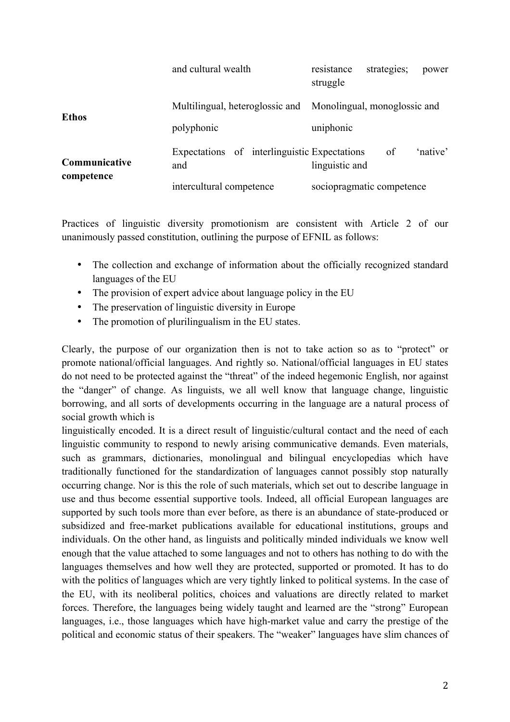|                             | and cultural wealth                                                        | resistance<br>strategies;<br>power<br>struggle |  |
|-----------------------------|----------------------------------------------------------------------------|------------------------------------------------|--|
| <b>Ethos</b>                | Multilingual, heteroglossic and Monolingual, monoglossic and<br>polyphonic | uniphonic                                      |  |
| Communicative<br>competence | Expectations of interlinguistic Expectations<br>and                        | 'native'<br>of<br>linguistic and               |  |
|                             | intercultural competence                                                   | sociopragmatic competence                      |  |

Practices of linguistic diversity promotionism are consistent with Article 2 of our unanimously passed constitution, outlining the purpose of EFNIL as follows:

- The collection and exchange of information about the officially recognized standard languages of the EU
- The provision of expert advice about language policy in the EU
- The preservation of linguistic diversity in Europe
- The promotion of plurilingualism in the EU states.

Clearly, the purpose of our organization then is not to take action so as to "protect" or promote national/official languages. And rightly so. National/official languages in EU states do not need to be protected against the "threat" of the indeed hegemonic English, nor against the "danger" of change. As linguists, we all well know that language change, linguistic borrowing, and all sorts of developments occurring in the language are a natural process of social growth which is

linguistically encoded. It is a direct result of linguistic/cultural contact and the need of each linguistic community to respond to newly arising communicative demands. Even materials, such as grammars, dictionaries, monolingual and bilingual encyclopedias which have traditionally functioned for the standardization of languages cannot possibly stop naturally occurring change. Nor is this the role of such materials, which set out to describe language in use and thus become essential supportive tools. Indeed, all official European languages are supported by such tools more than ever before, as there is an abundance of state-produced or subsidized and free-market publications available for educational institutions, groups and individuals. On the other hand, as linguists and politically minded individuals we know well enough that the value attached to some languages and not to others has nothing to do with the languages themselves and how well they are protected, supported or promoted. It has to do with the politics of languages which are very tightly linked to political systems. In the case of the EU, with its neoliberal politics, choices and valuations are directly related to market forces. Therefore, the languages being widely taught and learned are the "strong" European languages, i.e., those languages which have high-market value and carry the prestige of the political and economic status of their speakers. The "weaker" languages have slim chances of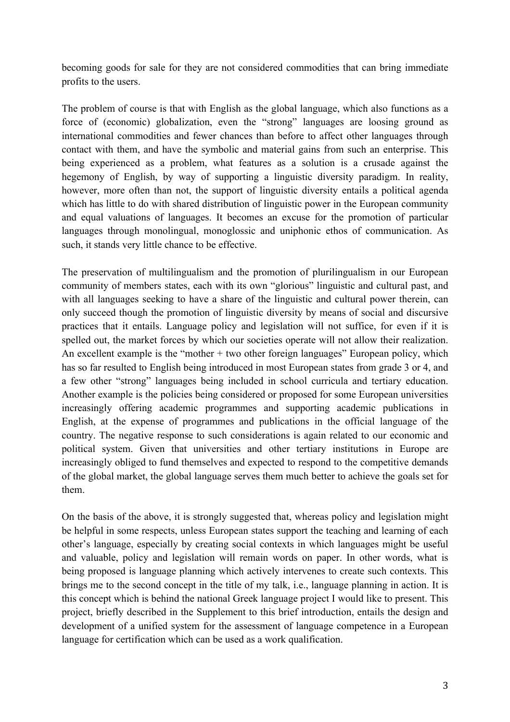becoming goods for sale for they are not considered commodities that can bring immediate profits to the users.

The problem of course is that with English as the global language, which also functions as a force of (economic) globalization, even the "strong" languages are loosing ground as international commodities and fewer chances than before to affect other languages through contact with them, and have the symbolic and material gains from such an enterprise. This being experienced as a problem, what features as a solution is a crusade against the hegemony of English, by way of supporting a linguistic diversity paradigm. In reality, however, more often than not, the support of linguistic diversity entails a political agenda which has little to do with shared distribution of linguistic power in the European community and equal valuations of languages. It becomes an excuse for the promotion of particular languages through monolingual, monoglossic and uniphonic ethos of communication. As such, it stands very little chance to be effective.

The preservation of multilingualism and the promotion of plurilingualism in our European community of members states, each with its own "glorious" linguistic and cultural past, and with all languages seeking to have a share of the linguistic and cultural power therein, can only succeed though the promotion of linguistic diversity by means of social and discursive practices that it entails. Language policy and legislation will not suffice, for even if it is spelled out, the market forces by which our societies operate will not allow their realization. An excellent example is the "mother + two other foreign languages" European policy, which has so far resulted to English being introduced in most European states from grade 3 or 4, and a few other "strong" languages being included in school curricula and tertiary education. Another example is the policies being considered or proposed for some European universities increasingly offering academic programmes and supporting academic publications in English, at the expense of programmes and publications in the official language of the country. The negative response to such considerations is again related to our economic and political system. Given that universities and other tertiary institutions in Europe are increasingly obliged to fund themselves and expected to respond to the competitive demands of the global market, the global language serves them much better to achieve the goals set for them.

On the basis of the above, it is strongly suggested that, whereas policy and legislation might be helpful in some respects, unless European states support the teaching and learning of each other's language, especially by creating social contexts in which languages might be useful and valuable, policy and legislation will remain words on paper. In other words, what is being proposed is language planning which actively intervenes to create such contexts. This brings me to the second concept in the title of my talk, i.e., language planning in action. It is this concept which is behind the national Greek language project I would like to present. This project, briefly described in the Supplement to this brief introduction, entails the design and development of a unified system for the assessment of language competence in a European language for certification which can be used as a work qualification.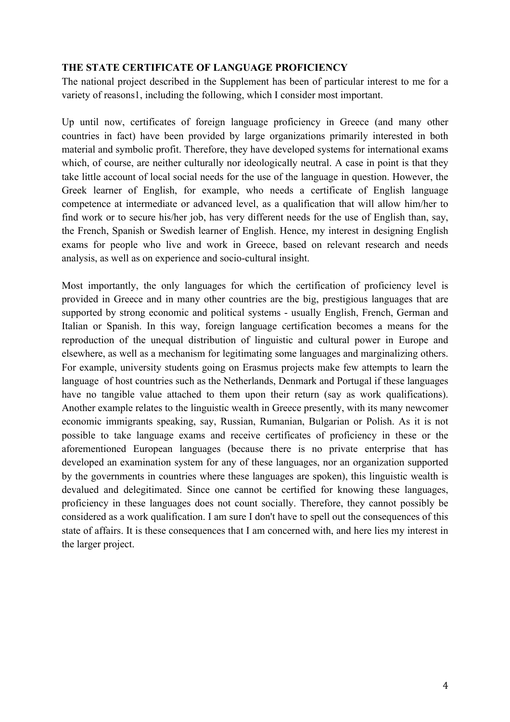#### **THE STATE CERTIFICATE OF LANGUAGE PROFICIENCY**

The national project described in the Supplement has been of particular interest to me for a variety of reasons1, including the following, which I consider most important.

Up until now, certificates of foreign language proficiency in Greece (and many other countries in fact) have been provided by large organizations primarily interested in both material and symbolic profit. Therefore, they have developed systems for international exams which, of course, are neither culturally nor ideologically neutral. A case in point is that they take little account of local social needs for the use of the language in question. However, the Greek learner of English, for example, who needs a certificate of English language competence at intermediate or advanced level, as a qualification that will allow him/her to find work or to secure his/her job, has very different needs for the use of English than, say, the French, Spanish or Swedish learner of English. Hence, my interest in designing English exams for people who live and work in Greece, based on relevant research and needs analysis, as well as on experience and socio-cultural insight.

Most importantly, the only languages for which the certification of proficiency level is provided in Greece and in many other countries are the big, prestigious languages that are supported by strong economic and political systems - usually English, French, German and Italian or Spanish. In this way, foreign language certification becomes a means for the reproduction of the unequal distribution of linguistic and cultural power in Europe and elsewhere, as well as a mechanism for legitimating some languages and marginalizing others. For example, university students going on Erasmus projects make few attempts to learn the language of host countries such as the Netherlands, Denmark and Portugal if these languages have no tangible value attached to them upon their return (say as work qualifications). Another example relates to the linguistic wealth in Greece presently, with its many newcomer economic immigrants speaking, say, Russian, Rumanian, Bulgarian or Polish. As it is not possible to take language exams and receive certificates of proficiency in these or the aforementioned European languages (because there is no private enterprise that has developed an examination system for any of these languages, nor an organization supported by the governments in countries where these languages are spoken), this linguistic wealth is devalued and delegitimated. Since one cannot be certified for knowing these languages, proficiency in these languages does not count socially. Therefore, they cannot possibly be considered as a work qualification. I am sure I don't have to spell out the consequences of this state of affairs. It is these consequences that I am concerned with, and here lies my interest in the larger project.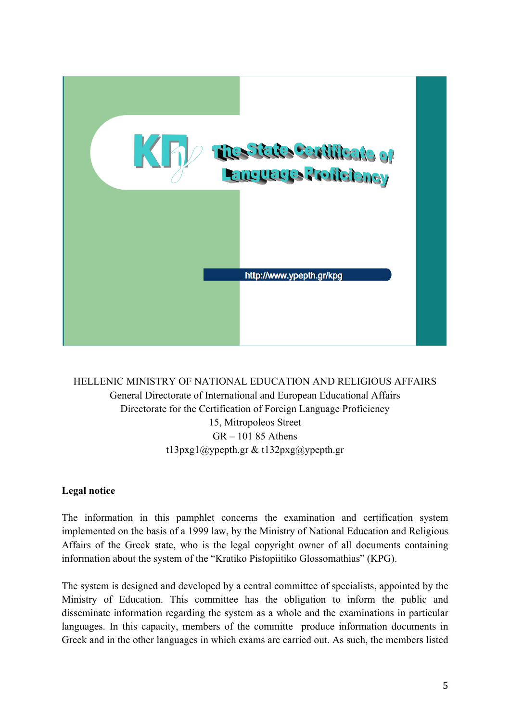

# HELLENIC MINISTRY OF NATIONAL EDUCATION AND RELIGIOUS AFFAIRS General Directorate of International and European Educational Affairs Directorate for the Certification of Foreign Language Proficiency 15, Mitropoleos Street GR – 101 85 Athens t13pxg1@ypepth.gr & t132pxg@ypepth.gr

#### **Legal notice**

The information in this pamphlet concerns the examination and certification system implemented on the basis of a 1999 law, by the Ministry of National Education and Religious Affairs of the Greek state, who is the legal copyright owner of all documents containing information about the system of the "Kratiko Pistopiitiko Glossomathias" (KPG).

The system is designed and developed by a central committee of specialists, appointed by the Ministry of Education. This committee has the obligation to inform the public and disseminate information regarding the system as a whole and the examinations in particular languages. In this capacity, members of the committe produce information documents in Greek and in the other languages in which exams are carried out. As such, the members listed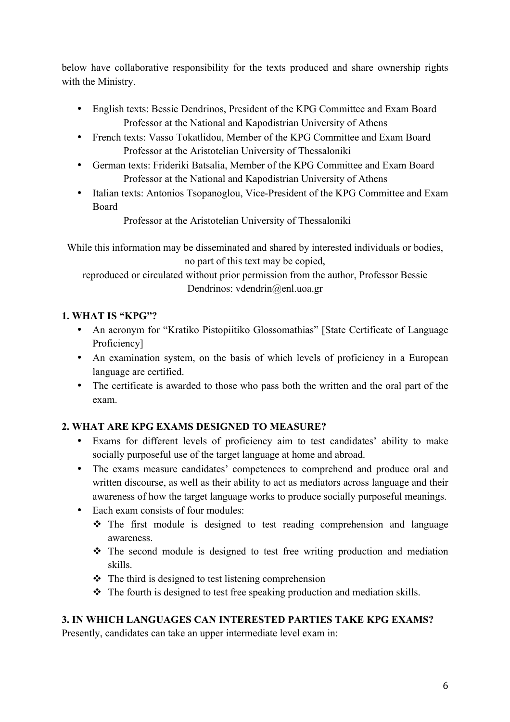below have collaborative responsibility for the texts produced and share ownership rights with the Ministry.

- English texts: Bessie Dendrinos, President of the KPG Committee and Exam Board Professor at the National and Kapodistrian University of Athens
- French texts: Vasso Tokatlidou, Member of the KPG Committee and Exam Board Professor at the Aristotelian University of Thessaloniki
- German texts: Frideriki Batsalia, Member of the KPG Committee and Exam Board Professor at the National and Kapodistrian University of Athens
- Italian texts: Antonios Tsopanoglou, Vice-President of the KPG Committee and Exam Board

Professor at the Aristotelian University of Thessaloniki

While this information may be disseminated and shared by interested individuals or bodies, no part of this text may be copied,

reproduced or circulated without prior permission from the author, Professor Bessie Dendrinos: vdendrin@enl.uoa.gr

### **1. WHAT IS "KPG"?**

- An acronym for "Kratiko Pistopiitiko Glossomathias" [State Certificate of Language Proficiency]
- An examination system, on the basis of which levels of proficiency in a European language are certified.
- The certificate is awarded to those who pass both the written and the oral part of the exam.

## **2. WHAT ARE KPG EXAMS DESIGNED TO MEASURE?**

- Exams for different levels of proficiency aim to test candidates' ability to make socially purposeful use of the target language at home and abroad.
- The exams measure candidates' competences to comprehend and produce oral and written discourse, as well as their ability to act as mediators across language and their awareness of how the target language works to produce socially purposeful meanings.
- Each exam consists of four modules:
	- $\cdot \cdot$  The first module is designed to test reading comprehension and language awareness.
	- $\cdot \cdot$  The second module is designed to test free writing production and mediation skills.
	- $\div$  The third is designed to test listening comprehension
	- $\cdot \cdot$  The fourth is designed to test free speaking production and mediation skills.

## **3. IN WHICH LANGUAGES CAN INTERESTED PARTIES TAKE KPG EXAMS?**

Presently, candidates can take an upper intermediate level exam in: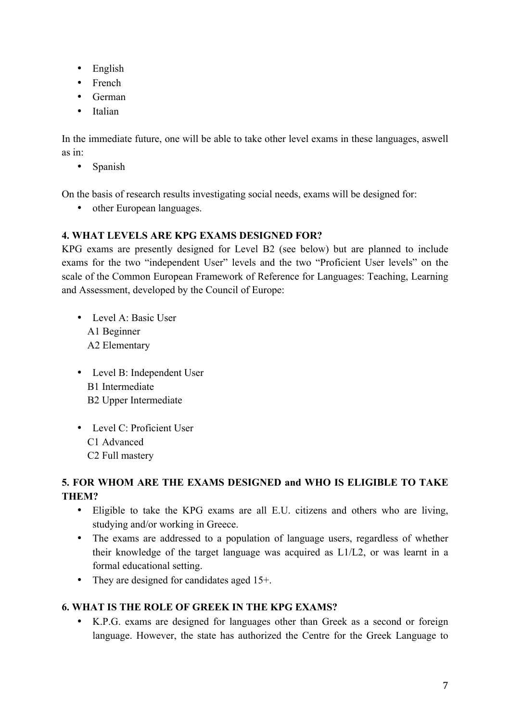- English
- French
- German
- Italian

In the immediate future, one will be able to take other level exams in these languages, aswell as in:

• Spanish

On the basis of research results investigating social needs, exams will be designed for:

• other European languages.

### **4. WHAT LEVELS ARE KPG EXAMS DESIGNED FOR?**

KPG exams are presently designed for Level B2 (see below) but are planned to include exams for the two "independent User" levels and the two "Proficient User levels" on the scale of the Common European Framework of Reference for Languages: Teaching, Learning and Assessment, developed by the Council of Europe:

- Level A: Basic User A1 Beginner A2 Elementary
- Level B: Independent User B1 Intermediate B2 Upper Intermediate
- Level C: Proficient User C1 Advanced C2 Full mastery

## **5. FOR WHOM ARE THE EXAMS DESIGNED and WHO IS ELIGIBLE TO TAKE THEM?**

- Eligible to take the KPG exams are all E.U. citizens and others who are living, studying and/or working in Greece.
- The exams are addressed to a population of language users, regardless of whether their knowledge of the target language was acquired as L1/L2, or was learnt in a formal educational setting.
- They are designed for candidates aged 15+.

## **6. WHAT IS THE ROLE OF GREEK IN THE KPG EXAMS?**

• K.P.G. exams are designed for languages other than Greek as a second or foreign language. However, the state has authorized the Centre for the Greek Language to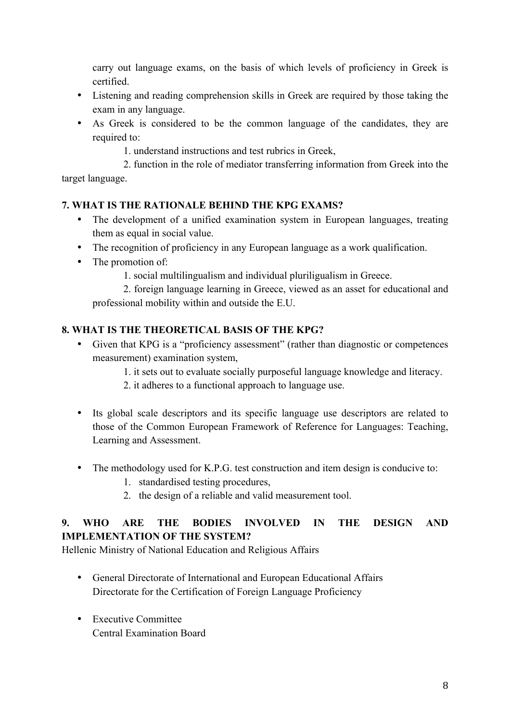carry out language exams, on the basis of which levels of proficiency in Greek is certified.

- Listening and reading comprehension skills in Greek are required by those taking the exam in any language.
- As Greek is considered to be the common language of the candidates, they are required to:
	- 1. understand instructions and test rubrics in Greek,

2. function in the role of mediator transferring information from Greek into the target language.

### **7. WHAT IS THE RATIONALE BEHIND THE KPG EXAMS?**

- The development of a unified examination system in European languages, treating them as equal in social value.
- The recognition of proficiency in any European language as a work qualification.
- The promotion of:
	- 1. social multilingualism and individual pluriligualism in Greece.

2. foreign language learning in Greece, viewed as an asset for educational and professional mobility within and outside the E.U.

### **8. WHAT IS THE THEORETICAL BASIS OF THE KPG?**

- Given that KPG is a "proficiency assessment" (rather than diagnostic or competences measurement) examination system,
	- 1. it sets out to evaluate socially purposeful language knowledge and literacy.
	- 2. it adheres to a functional approach to language use.
- Its global scale descriptors and its specific language use descriptors are related to those of the Common European Framework of Reference for Languages: Teaching, Learning and Assessment.
- The methodology used for K.P.G. test construction and item design is conducive to:
	- 1. standardised testing procedures,
	- 2. the design of a reliable and valid measurement tool.

# **9. WHO ARE THE BODIES INVOLVED IN THE DESIGN AND IMPLEMENTATION OF THE SYSTEM?**

Hellenic Ministry of National Education and Religious Affairs

- General Directorate of International and European Educational Affairs Directorate for the Certification of Foreign Language Proficiency
- Executive Committee Central Examination Board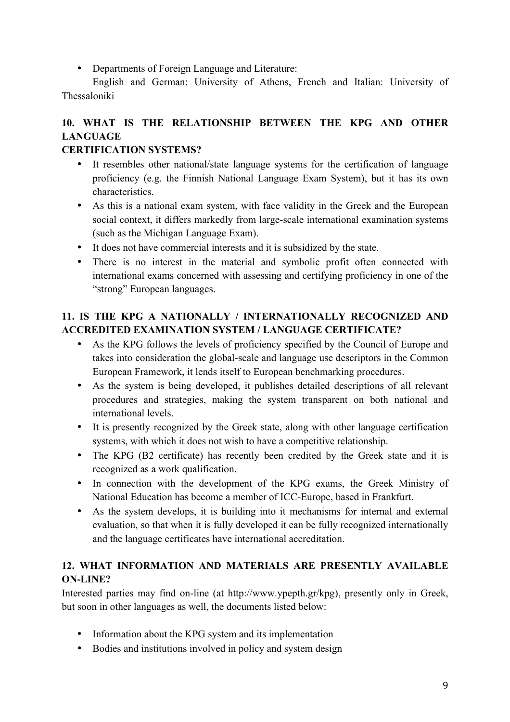• Departments of Foreign Language and Literature:

English and German: University of Athens, French and Italian: University of Thessaloniki

# **10. WHAT IS THE RELATIONSHIP BETWEEN THE KPG AND OTHER LANGUAGE**

### **CERTIFICATION SYSTEMS?**

- It resembles other national/state language systems for the certification of language proficiency (e.g. the Finnish National Language Exam System), but it has its own characteristics.
- As this is a national exam system, with face validity in the Greek and the European social context, it differs markedly from large-scale international examination systems (such as the Michigan Language Exam).
- It does not have commercial interests and it is subsidized by the state.
- There is no interest in the material and symbolic profit often connected with international exams concerned with assessing and certifying proficiency in one of the "strong" European languages.

## **11. IS THE KPG A NATIONALLY / INTERNATIONALLY RECOGNIZED AND ACCREDITED EXAMINATION SYSTEM / LANGUAGE CERTIFICATE?**

- As the KPG follows the levels of proficiency specified by the Council of Europe and takes into consideration the global-scale and language use descriptors in the Common European Framework, it lends itself to European benchmarking procedures.
- As the system is being developed, it publishes detailed descriptions of all relevant procedures and strategies, making the system transparent on both national and international levels.
- It is presently recognized by the Greek state, along with other language certification systems, with which it does not wish to have a competitive relationship.
- The KPG (B2 certificate) has recently been credited by the Greek state and it is recognized as a work qualification.
- In connection with the development of the KPG exams, the Greek Ministry of National Education has become a member of ICC-Europe, based in Frankfurt.
- As the system develops, it is building into it mechanisms for internal and external evaluation, so that when it is fully developed it can be fully recognized internationally and the language certificates have international accreditation.

## **12. WHAT INFORMATION AND MATERIALS ARE PRESENTLY AVAILABLE ON-LINE?**

Interested parties may find on-line (at http://www.ypepth.gr/kpg), presently only in Greek, but soon in other languages as well, the documents listed below:

- Information about the KPG system and its implementation
- Bodies and institutions involved in policy and system design